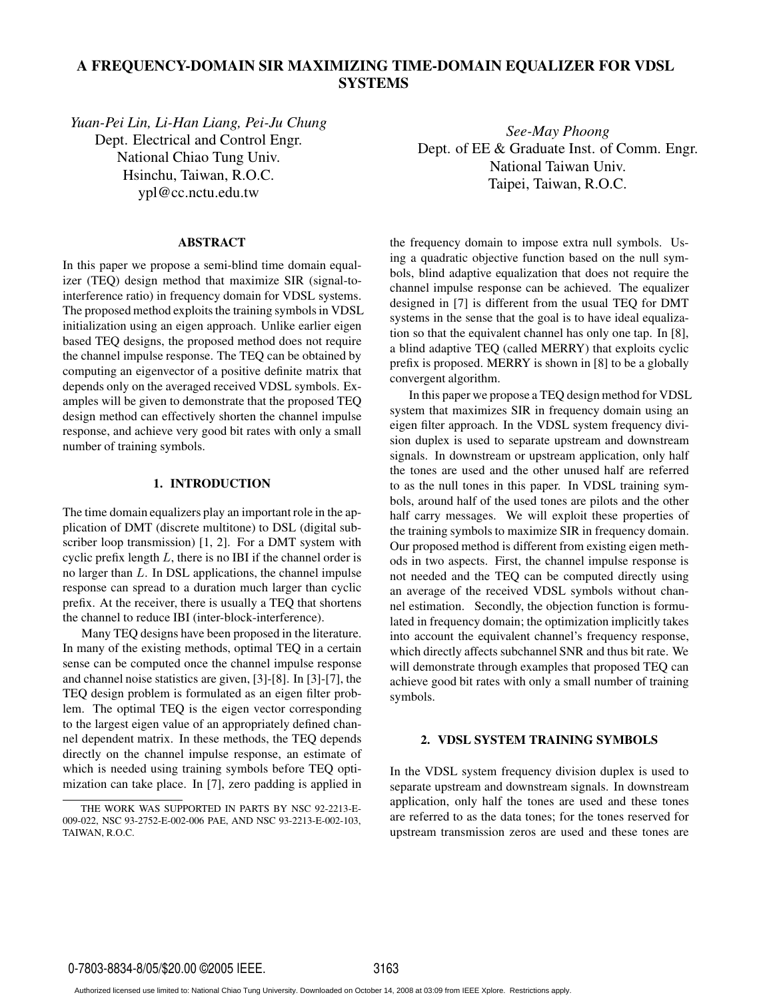# **A FREQUENCY-DOMAIN SIR MAXIMIZING TIME-DOMAIN EQUALIZER FOR VDSL SYSTEMS**

*Yuan-Pei Lin, Li-Han Liang, Pei-Ju Chung*

Dept. Electrical and Control Engr. National Chiao Tung Univ. Hsinchu, Taiwan, R.O.C. ypl@cc.nctu.edu.tw

## **ABSTRACT**

In this paper we propose a semi-blind time domain equalizer (TEQ) design method that maximize SIR (signal-tointerference ratio) in frequency domain for VDSL systems. The proposed method exploits the training symbols in VDSL initialization using an eigen approach. Unlike earlier eigen based TEQ designs, the proposed method does not require the channel impulse response. The TEQ can be obtained by computing an eigenvector of a positive definite matrix that depends only on the averaged received VDSL symbols. Examples will be given to demonstrate that the proposed TEQ design method can effectively shorten the channel impulse response, and achieve very good bit rates with only a small number of training symbols.

## **1. INTRODUCTION**

The time domain equalizers play an important role in the application of DMT (discrete multitone) to DSL (digital subscriber loop transmission) [1, 2]. For a DMT system with cyclic prefix length  $L$ , there is no IBI if the channel order is no larger than  $L$ . In DSL applications, the channel impulse response can spread to a duration much larger than cyclic prefix. At the receiver, there is usually a TEQ that shortens the channel to reduce IBI (inter-block-interference).

Many TEQ designs have been proposed in the literature. In many of the existing methods, optimal TEQ in a certain sense can be computed once the channel impulse response and channel noise statistics are given, [3]-[8]. In [3]-[7], the TEQ design problem is formulated as an eigen filter problem. The optimal TEQ is the eigen vector corresponding to the largest eigen value of an appropriately defined channel dependent matrix. In these methods, the TEQ depends directly on the channel impulse response, an estimate of which is needed using training symbols before TEQ optimization can take place. In [7], zero padding is applied in

*See-May Phoong* Dept. of EE & Graduate Inst. of Comm. Engr. National Taiwan Univ. Taipei, Taiwan, R.O.C.

the frequency domain to impose extra null symbols. Using a quadratic objective function based on the null symbols, blind adaptive equalization that does not require the channel impulse response can be achieved. The equalizer designed in [7] is different from the usual TEQ for DMT systems in the sense that the goal is to have ideal equalization so that the equivalent channel has only one tap. In [8], a blind adaptive TEQ (called MERRY) that exploits cyclic prefix is proposed. MERRY is shown in [8] to be a globally convergent algorithm.

In this paper we propose a TEQ design method for VDSL system that maximizes SIR in frequency domain using an eigen filter approach. In the VDSL system frequency division duplex is used to separate upstream and downstream signals. In downstream or upstream application, only half the tones are used and the other unused half are referred to as the null tones in this paper. In VDSL training symbols, around half of the used tones are pilots and the other half carry messages. We will exploit these properties of the training symbols to maximize SIR in frequency domain. Our proposed method is different from existing eigen methods in two aspects. First, the channel impulse response is not needed and the TEQ can be computed directly using an average of the received VDSL symbols without channel estimation. Secondly, the objection function is formulated in frequency domain; the optimization implicitly takes into account the equivalent channel's frequency response, which directly affects subchannel SNR and thus bit rate. We will demonstrate through examples that proposed TEQ can achieve good bit rates with only a small number of training symbols.

## **2. VDSL SYSTEM TRAINING SYMBOLS**

In the VDSL system frequency division duplex is used to separate upstream and downstream signals. In downstream application, only half the tones are used and these tones are referred to as the data tones; for the tones reserved for upstream transmission zeros are used and these tones are

THE WORK WAS SUPPORTED IN PARTS BY NSC 92-2213-E-009-022, NSC 93-2752-E-002-006 PAE, AND NSC 93-2213-E-002-103, TAIWAN, R.O.C.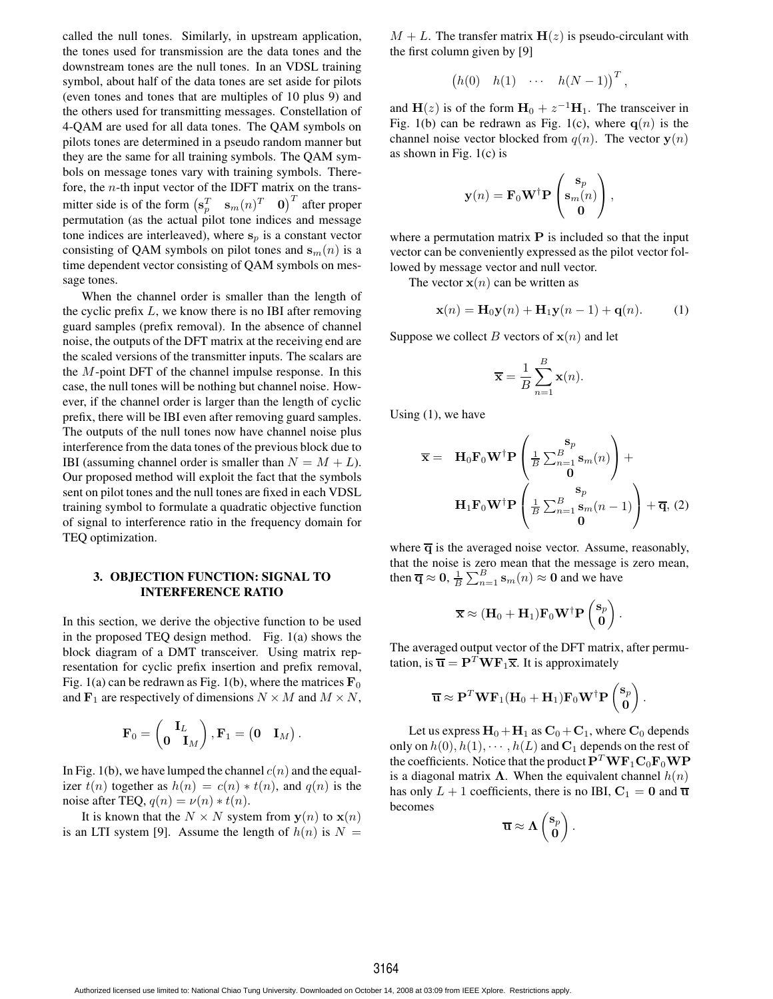called the null tones. Similarly, in upstream application, the tones used for transmission are the data tones and the downstream tones are the null tones. In an VDSL training symbol, about half of the data tones are set aside for pilots (even tones and tones that are multiples of 10 plus 9) and the others used for transmitting messages. Constellation of 4-QAM are used for all data tones. The QAM symbols on pilots tones are determined in a pseudo random manner but they are the same for all training symbols. The QAM symbols on message tones vary with training symbols. Therefore, the n-th input vector of the IDFT matrix on the transmitter side is of the form  $(\mathbf{s}_p^T \quad \mathbf{s}_m(n)^T \quad \mathbf{0})^T$  after proper permutation (as the actual pilot tone indices and message tone indices are interleaved), where  $s_p$  is a constant vector consisting of QAM symbols on pilot tones and  $\mathbf{s}_m(n)$  is a time dependent vector consisting of QAM symbols on message tones.

When the channel order is smaller than the length of the cyclic prefix  $L$ , we know there is no IBI after removing guard samples (prefix removal). In the absence of channel noise, the outputs of the DFT matrix at the receiving end are the scaled versions of the transmitter inputs. The scalars are the M-point DFT of the channel impulse response. In this case, the null tones will be nothing but channel noise. However, if the channel order is larger than the length of cyclic prefix, there will be IBI even after removing guard samples. The outputs of the null tones now have channel noise plus interference from the data tones of the previous block due to IBI (assuming channel order is smaller than  $N = M + L$ ). Our proposed method will exploit the fact that the symbols sent on pilot tones and the null tones are fixed in each VDSL training symbol to formulate a quadratic objective function of signal to interference ratio in the frequency domain for TEQ optimization.

## **3. OBJECTION FUNCTION: SIGNAL TO INTERFERENCE RATIO**

In this section, we derive the objective function to be used in the proposed TEQ design method. Fig. 1(a) shows the block diagram of a DMT transceiver. Using matrix representation for cyclic prefix insertion and prefix removal, Fig. 1(a) can be redrawn as Fig. 1(b), where the matrices  $\mathbf{F}_0$ and  $\mathbf{F}_1$  are respectively of dimensions  $N \times M$  and  $M \times N$ ,

$$
\mathbf{F}_0 = \begin{pmatrix} \mathbf{I}_L \\ \mathbf{0} & \mathbf{I}_M \end{pmatrix}, \mathbf{F}_1 = \begin{pmatrix} \mathbf{0} & \mathbf{I}_M \end{pmatrix}.
$$

In Fig. 1(b), we have lumped the channel  $c(n)$  and the equalizer  $t(n)$  together as  $h(n) = c(n) * t(n)$ , and  $q(n)$  is the noise after TEQ,  $q(n) = \nu(n) * t(n)$ .

It is known that the  $N \times N$  system from  $y(n)$  to  $x(n)$ is an LTI system [9]. Assume the length of  $h(n)$  is  $N =$ 

 $M + L$ . The transfer matrix  $H(z)$  is pseudo-circulant with the first column given by [9]

$$
(h(0) \quad h(1) \quad \cdots \quad h(N-1))^{T},
$$

and **H**(z) is of the form  $H_0 + z^{-1}H_1$ . The transceiver in Fig. 1(b) can be redrawn as Fig. 1(c), where  $q(n)$  is the channel noise vector blocked from  $q(n)$ . The vector  $y(n)$ as shown in Fig.  $1(c)$  is

$$
\mathbf{y}(n) = \mathbf{F}_0 \mathbf{W}^\dagger \mathbf{P} \begin{pmatrix} \mathbf{s}_p \\ \mathbf{s}_m(n) \\ \mathbf{0} \end{pmatrix},
$$

where a permutation matrix **P** is included so that the input vector can be conveniently expressed as the pilot vector followed by message vector and null vector.

The vector  $\mathbf{x}(n)$  can be written as

$$
\mathbf{x}(n) = \mathbf{H}_0 \mathbf{y}(n) + \mathbf{H}_1 \mathbf{y}(n-1) + \mathbf{q}(n).
$$
 (1)

Suppose we collect B vectors of  $\mathbf{x}(n)$  and let

$$
\overline{\mathbf{x}} = \frac{1}{B} \sum_{n=1}^{B} \mathbf{x}(n).
$$

Using (1), we have

$$
\overline{\mathbf{x}} = \mathbf{H}_0 \mathbf{F}_0 \mathbf{W}^\dagger \mathbf{P} \begin{pmatrix} \mathbf{s}_p \\ \frac{1}{B} \sum_{n=1}^B \mathbf{s}_m(n) \\ \mathbf{0} \end{pmatrix} + \mathbf{H}_1 \mathbf{F}_0 \mathbf{W}^\dagger \mathbf{P} \begin{pmatrix} \mathbf{s}_p \\ \frac{1}{B} \sum_{n=1}^B \mathbf{s}_m(n-1) \\ \mathbf{0} \end{pmatrix} + \overline{\mathbf{q}}, (2)
$$

where  $\overline{q}$  is the averaged noise vector. Assume, reasonably, that the noise is zero mean that the message is zero mean, then  $\overline{\mathbf{q}} \approx \mathbf{0}$ ,  $\frac{1}{B} \sum_{n=1}^{B} \mathbf{s}_{m}(n) \approx \mathbf{0}$  and we have

$$
\overline{\mathbf{x}} \approx (\mathbf{H}_0 + \mathbf{H}_1) \mathbf{F}_0 \mathbf{W}^\dagger \mathbf{P} \begin{pmatrix} \mathbf{s}_p \\ \mathbf{0} \end{pmatrix}.
$$

The averaged output vector of the DFT matrix, after permutation, is  $\overline{\mathbf{u}} = \mathbf{P}^T \mathbf{W} \mathbf{F}_1 \overline{\mathbf{x}}$ . It is approximately

$$
\overline{\mathbf{u}} \approx \mathbf{P}^T \mathbf{W} \mathbf{F}_1 (\mathbf{H}_0 + \mathbf{H}_1) \mathbf{F}_0 \mathbf{W}^\dagger \mathbf{P} \begin{pmatrix} \mathbf{s}_p \\ \mathbf{0} \end{pmatrix}.
$$

Let us express  $H_0 + H_1$  as  $C_0 + C_1$ , where  $C_0$  depends only on  $h(0), h(1), \cdots, h(L)$  and  $C_1$  depends on the rest of the coefficients. Notice that the product  $P^T \mathbf{W} \mathbf{F}_1 \mathbf{C}_0 \mathbf{F}_0 \mathbf{W} \mathbf{P}$ is a diagonal matrix  $\Lambda$ . When the equivalent channel  $h(n)$ has only  $L + 1$  coefficients, there is no IBI,  $C_1 = 0$  and  $\overline{u}$ becomes

$$
\overline{\mathbf{u}} \approx \Lambda \begin{pmatrix} \mathbf{s}_p \\ \mathbf{0} \end{pmatrix}
$$

.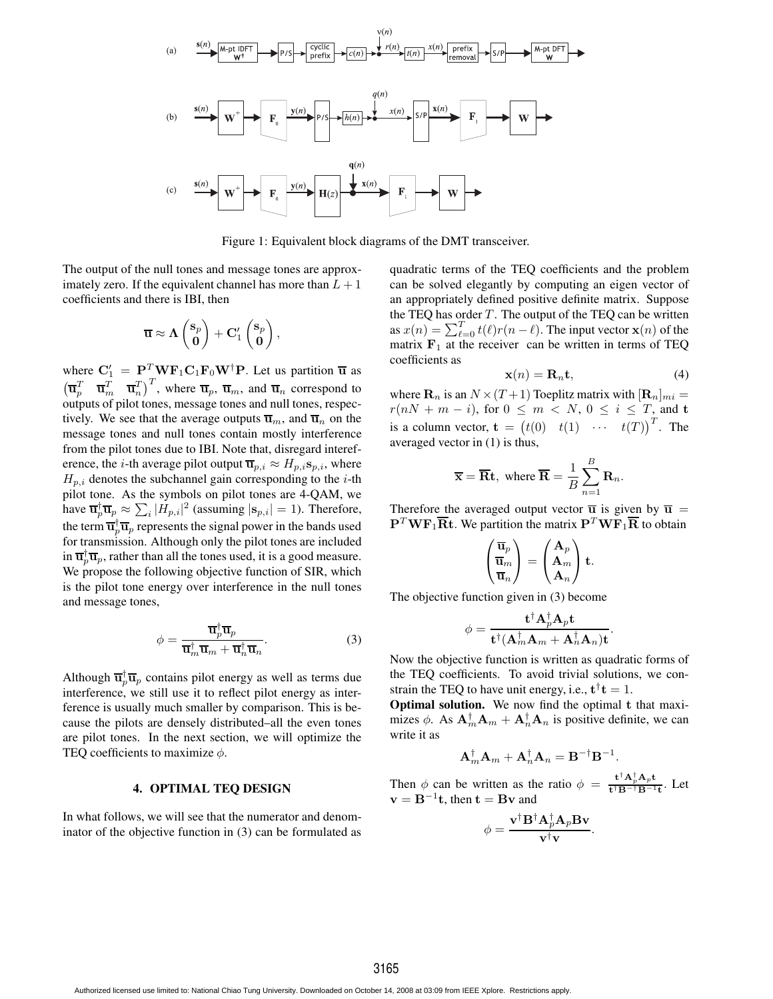

Figure 1: Equivalent block diagrams of the DMT transceiver.

The output of the null tones and message tones are approximately zero. If the equivalent channel has more than  $L + 1$ coefficients and there is IBI, then

$$
\overline{\mathbf{u}} \approx \mathbf{\Lambda} \begin{pmatrix} \mathbf{s}_p \\ \mathbf{0} \end{pmatrix} + \mathbf{C}_1' \begin{pmatrix} \mathbf{s}_p \\ \mathbf{0} \end{pmatrix},
$$

where  $C'_1 = P^T \mathbf{W} \mathbf{F}_1 \mathbf{C}_1 \mathbf{F}_0 \mathbf{W}^{\dagger} \mathbf{P}$ . Let us partition  $\overline{\mathbf{u}}$  as  $\left(\overline{\mathbf{u}}_p^T \quad \overline{\mathbf{u}}_m^T \quad \overline{\mathbf{u}}_n^T\right)^T$ , where  $\overline{\mathbf{u}}_p$ ,  $\overline{\mathbf{u}}_m$ , and  $\overline{\mathbf{u}}_n$  correspond to outputs of pilot tones, message tones and null tones, respectively. We see that the average outputs  $\overline{\mathbf{u}}_m$ , and  $\overline{\mathbf{u}}_n$  on the message tones and null tones contain mostly interference from the pilot tones due to IBI. Note that, disregard intereference, the *i*-th average pilot output  $\overline{\mathbf{u}}_{p,i} \approx H_{p,i} \mathbf{s}_{p,i}$ , where  $H_{p,i}$  denotes the subchannel gain corresponding to the *i*-th pilot tone. As the symbols on pilot tones are 4-QAM, we have  $\overline{\mathbf{u}}_p^{\dagger} \overline{\mathbf{u}}_p \approx \sum_i |H_{p,i}|^2$  (assuming  $|\mathbf{s}_{p,i}| = 1$ ). Therefore, the term  $\overline{\mathbf{u}}_p^{\dagger} \overline{\mathbf{u}}_p$  represents the signal power in the bands used for transmission. Although only the pilot tones are included in  $\overline{\mathbf{u}}_p^{\dagger} \overline{\mathbf{u}}_p$ , rather than all the tones used, it is a good measure. We propose the following objective function of SIR, which is the pilot tone energy over interference in the null tones and message tones,

$$
\phi = \frac{\overline{\mathbf{u}}_p^{\dagger} \overline{\mathbf{u}}_p}{\overline{\mathbf{u}}_m^{\dagger} \overline{\mathbf{u}}_m + \overline{\mathbf{u}}_n^{\dagger} \overline{\mathbf{u}}_n}.
$$
 (3)

Although  $\overline{\mathbf{u}}_p^{\dagger} \overline{\mathbf{u}}_p$  contains pilot energy as well as terms due interference, we still use it to reflect pilot energy as interference is usually much smaller by comparison. This is because the pilots are densely distributed–all the even tones are pilot tones. In the next section, we will optimize the TEQ coefficients to maximize  $\phi$ .

## **4. OPTIMAL TEQ DESIGN**

In what follows, we will see that the numerator and denominator of the objective function in (3) can be formulated as quadratic terms of the TEQ coefficients and the problem can be solved elegantly by computing an eigen vector of an appropriately defined positive definite matrix. Suppose the TEQ has order  $T$ . The output of the TEQ can be written as  $x(n) = \sum_{\ell=0}^{T} t(\ell)r(n-\ell)$ . The input vector **x**(*n*) of the matrix  $\mathbf{F}_1$  at the receiver can be written in terms of TEQ coefficients as

$$
\mathbf{x}(n) = \mathbf{R}_n \mathbf{t},\tag{4}
$$

where  $\mathbf{R}_n$  is an  $N \times (T+1)$  Toeplitz matrix with  $[\mathbf{R}_n]_{mi} =$  $r(nN + m - i)$ , for  $0 \le m < N$ ,  $0 \le i \le T$ , and **t** is a column vector,  $\mathbf{t} = (t(0) \quad t(1) \quad \cdots \quad t(T))^{T}$ . The averaged vector in (1) is thus,

$$
\overline{\mathbf{x}} = \overline{\mathbf{R}}\mathbf{t}
$$
, where  $\overline{\mathbf{R}} = \frac{1}{B} \sum_{n=1}^{B} \mathbf{R}_n$ .

Therefore the averaged output vector  $\overline{u}$  is given by  $\overline{u}$  =  $P^T \mathbf{W} \mathbf{F}_1 \overline{\mathbf{R}}$  **Rt**. We partition the matrix  $P^T \mathbf{W} \mathbf{F}_1 \overline{\mathbf{R}}$  to obtain

$$
\begin{pmatrix} \overline{\mathbf{u}}_p \\ \overline{\mathbf{u}}_m \\ \overline{\mathbf{u}}_n \end{pmatrix} = \begin{pmatrix} \mathbf{A}_p \\ \mathbf{A}_m \\ \mathbf{A}_n \end{pmatrix} \mathbf{t}.
$$

The objective function given in (3) become

$$
\phi=\frac{{\mathbf{t}}^\dagger{\mathbf{A}}_p^\dagger{\mathbf{A}}_p{\mathbf{t}}}{\mathbf{t}}^\dagger({\mathbf{A}}_m^\dagger{\mathbf{A}}_m+{\mathbf{A}}_n^\dagger{\mathbf{A}}_n){\mathbf{t}}}.
$$

Now the objective function is written as quadratic forms of the TEQ coefficients. To avoid trivial solutions, we constrain the TEQ to have unit energy, i.e.,  $\mathbf{t}^{\dagger} \mathbf{t} = 1$ .

**Optimal solution.** We now find the optimal **t** that maximizes  $\phi$ . As  $\mathbf{A}_m^{\dagger} \mathbf{A}_m + \mathbf{A}_n^{\dagger} \mathbf{A}_n$  is positive definite, we can write it as

$$
\mathbf{A}_m^{\dagger} \mathbf{A}_m + \mathbf{A}_n^{\dagger} \mathbf{A}_n = \mathbf{B}^{-\dagger} \mathbf{B}^{-1}.
$$

Then  $\phi$  can be written as the ratio  $\phi = \frac{\mathbf{t}^\top \mathbf{A}_p^\top \mathbf{A}_p \mathbf{t}}{\mathbf{t}^\top \mathbf{B}^{-\top} \mathbf{B}^{-1} \mathbf{t}}$ . Let  $\mathbf{v} = \mathbf{B}^{-1}\mathbf{t}$ , then  $\mathbf{t} = \mathbf{B}\mathbf{v}$  and

$$
\phi = \frac{\mathbf{v}^\dagger \mathbf{B}^\dagger \mathbf{A}_p^\dagger \mathbf{A}_p \mathbf{B} \mathbf{v}}{\mathbf{v}^\dagger \mathbf{v}}.
$$